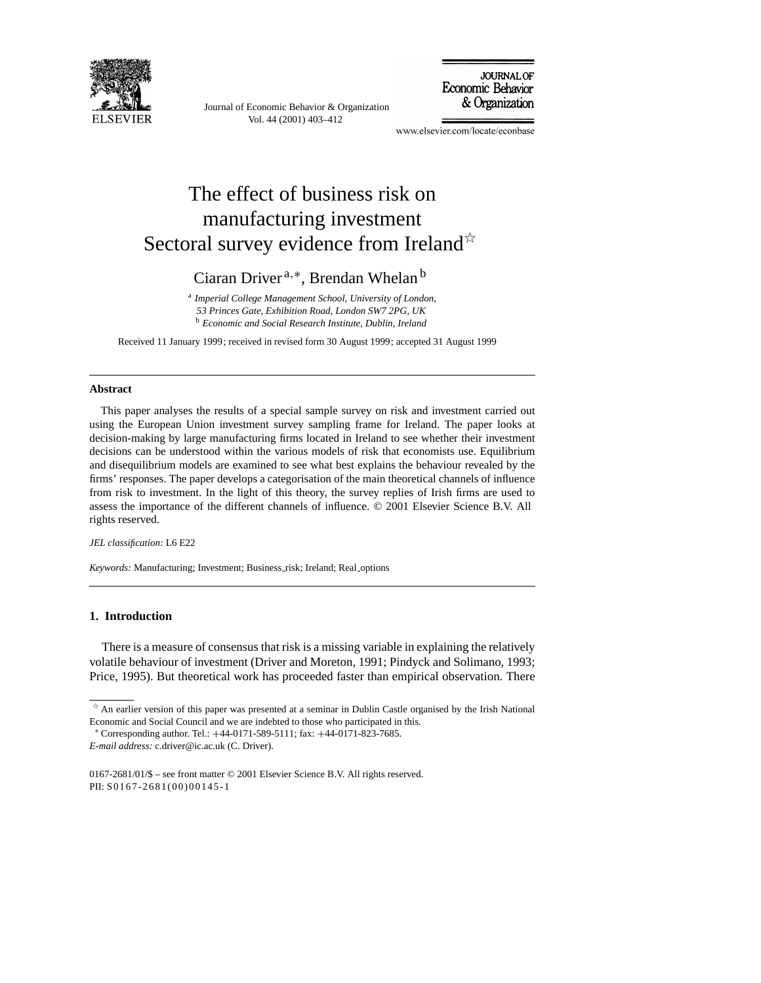

Journal of Economic Behavior & Organization Vol. 44 (2001) 403–412



www.elsevier.com/locate/econbase

# The effect of business risk on manufacturing investment Sectoral survey evidence from Ireland $\mathbb{R}$

Ciaran Driver <sup>a</sup>,∗, Brendan Whelan <sup>b</sup>

<sup>a</sup> *Imperial College Management School, University of London,*

*53 Princes Gate, Exhibition Road, London SW7 2PG, UK*

<sup>b</sup> *Economic and Social Research Institute, Dublin, Ireland*

Received 11 January 1999; received in revised form 30 August 1999; accepted 31 August 1999

#### **Abstract**

This paper analyses the results of a special sample survey on risk and investment carried out using the European Union investment survey sampling frame for Ireland. The paper looks at decision-making by large manufacturing firms located in Ireland to see whether their investment decisions can be understood within the various models of risk that economists use. Equilibrium and disequilibrium models are examined to see what best explains the behaviour revealed by the firms' responses. The paper develops a categorisation of the main theoretical channels of influence from risk to investment. In the light of this theory, the survey replies of Irish firms are used to assess the importance of the different channels of influence. © 2001 Elsevier Science B.V. All rights reserved.

#### *JEL classification:* L6 E22

*Keywords: Manufacturing; Investment; Business\_risk; Ireland; Real\_options* 

#### **1. Introduction**

There is a measure of consensus that risk is a missing variable in explaining the relatively volatile behaviour of investment (Driver and Moreton, 1991; Pindyck and Solimano, 1993; Price, 1995). But theoretical work has proceeded faster than empirical observation. There

*E-mail address:* c.driver@ic.ac.uk (C. Driver).

0167-2681/01/\$ – see front matter © 2001 Elsevier Science B.V. All rights reserved. PII: S0167-2681(00)00145-1

 $\overline{\ast}$  An earlier version of this paper was presented at a seminar in Dublin Castle organised by the Irish National Economic and Social Council and we are indebted to those who participated in this.

<sup>∗</sup> Corresponding author. Tel.: +44-0171-589-5111; fax: +44-0171-823-7685.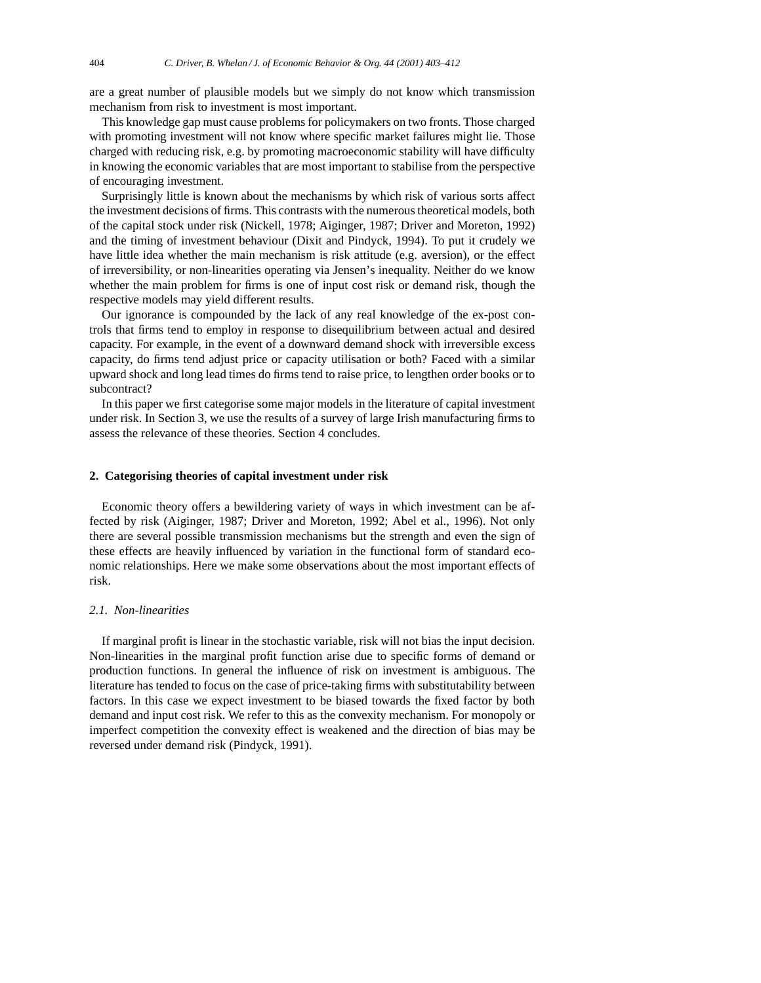are a great number of plausible models but we simply do not know which transmission mechanism from risk to investment is most important.

This knowledge gap must cause problems for policymakers on two fronts. Those charged with promoting investment will not know where specific market failures might lie. Those charged with reducing risk, e.g. by promoting macroeconomic stability will have difficulty in knowing the economic variables that are most important to stabilise from the perspective of encouraging investment.

Surprisingly little is known about the mechanisms by which risk of various sorts affect the investment decisions of firms. This contrasts with the numerous theoretical models, both of the capital stock under risk (Nickell, 1978; Aiginger, 1987; Driver and Moreton, 1992) and the timing of investment behaviour (Dixit and Pindyck, 1994). To put it crudely we have little idea whether the main mechanism is risk attitude (e.g. aversion), or the effect of irreversibility, or non-linearities operating via Jensen's inequality. Neither do we know whether the main problem for firms is one of input cost risk or demand risk, though the respective models may yield different results.

Our ignorance is compounded by the lack of any real knowledge of the ex-post controls that firms tend to employ in response to disequilibrium between actual and desired capacity. For example, in the event of a downward demand shock with irreversible excess capacity, do firms tend adjust price or capacity utilisation or both? Faced with a similar upward shock and long lead times do firms tend to raise price, to lengthen order books or to subcontract?

In this paper we first categorise some major models in the literature of capital investment under risk. In Section 3, we use the results of a survey of large Irish manufacturing firms to assess the relevance of these theories. Section 4 concludes.

### **2. Categorising theories of capital investment under risk**

Economic theory offers a bewildering variety of ways in which investment can be affected by risk (Aiginger, 1987; Driver and Moreton, 1992; Abel et al., 1996). Not only there are several possible transmission mechanisms but the strength and even the sign of these effects are heavily influenced by variation in the functional form of standard economic relationships. Here we make some observations about the most important effects of risk.

### *2.1. Non-linearities*

If marginal profit is linear in the stochastic variable, risk will not bias the input decision. Non-linearities in the marginal profit function arise due to specific forms of demand or production functions. In general the influence of risk on investment is ambiguous. The literature has tended to focus on the case of price-taking firms with substitutability between factors. In this case we expect investment to be biased towards the fixed factor by both demand and input cost risk. We refer to this as the convexity mechanism. For monopoly or imperfect competition the convexity effect is weakened and the direction of bias may be reversed under demand risk (Pindyck, 1991).